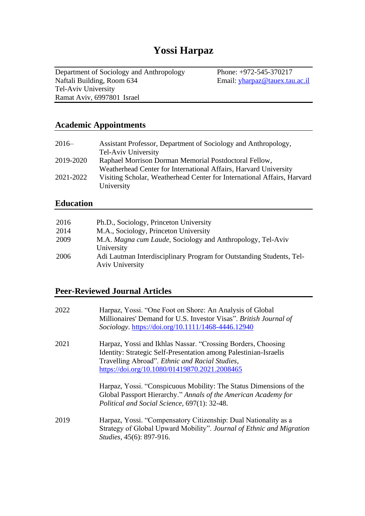# **Yossi Harpaz**

Department of Sociology and Anthropology Phone: +972-545-370217<br>Naftali Building, Room 634 Email: yharpaz@tauex.tau Tel-Aviv University Ramat Aviv, 6997801 Israel

Email: [yharpaz@tauex.tau.ac.il](mailto:yharpaz@tauex.tau.ac.il)

#### **Academic Appointments**

| $2016-$   | Assistant Professor, Department of Sociology and Anthropology,          |
|-----------|-------------------------------------------------------------------------|
|           | Tel-Aviv University                                                     |
| 2019-2020 | Raphael Morrison Dorman Memorial Postdoctoral Fellow,                   |
|           | Weatherhead Center for International Affairs, Harvard University        |
| 2021-2022 | Visiting Scholar, Weatherhead Center for International Affairs, Harvard |
|           | University                                                              |

#### **Education**

| 2016 | Ph.D., Sociology, Princeton University                                                         |
|------|------------------------------------------------------------------------------------------------|
| 2014 | M.A., Sociology, Princeton University                                                          |
| 2009 | M.A. Magna cum Laude, Sociology and Anthropology, Tel-Aviv                                     |
|      | University                                                                                     |
| 2006 | Adi Lautman Interdisciplinary Program for Outstanding Students, Tel-<br><b>Aviv University</b> |

#### **Peer-Reviewed Journal Articles**

| 2022 | Harpaz, Yossi. "One Foot on Shore: An Analysis of Global<br>Millionaires' Demand for U.S. Investor Visas". British Journal of<br>Sociology. https://doi.org/10.1111/1468-4446.12940                                                 |
|------|-------------------------------------------------------------------------------------------------------------------------------------------------------------------------------------------------------------------------------------|
| 2021 | Harpaz, Yossi and Ikhlas Nassar. "Crossing Borders, Choosing<br>Identity: Strategic Self-Presentation among Palestinian-Israelis<br>Travelling Abroad". Ethnic and Racial Studies,<br>https://doi.org/10.1080/01419870.2021.2008465 |
|      | Harpaz, Yossi. "Conspicuous Mobility: The Status Dimensions of the<br>Global Passport Hierarchy." Annals of the American Academy for<br>Political and Social Science, 697(1): 32-48.                                                |
| 2019 | Harpaz, Yossi. "Compensatory Citizenship: Dual Nationality as a<br>Strategy of Global Upward Mobility". Journal of Ethnic and Migration<br><i>Studies</i> , 45(6): 897-916.                                                         |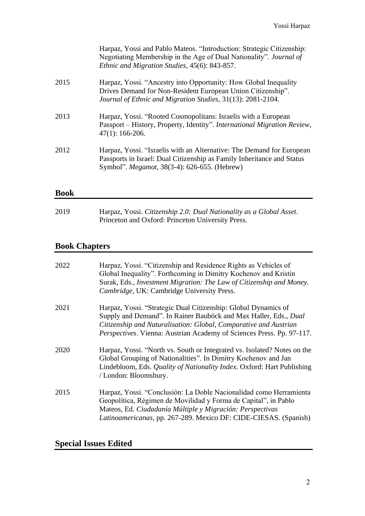|      | Harpaz, Yossi and Pablo Mateos. "Introduction: Strategic Citizenship:<br>Negotiating Membership in the Age of Dual Nationality". Journal of<br>Ethnic and Migration Studies, 45(6): 843-857.    |
|------|-------------------------------------------------------------------------------------------------------------------------------------------------------------------------------------------------|
| 2015 | Harpaz, Yossi. "Ancestry into Opportunity: How Global Inequality<br>Drives Demand for Non-Resident European Union Citizenship".<br>Journal of Ethnic and Migration Studies, 31(13): 2081-2104.  |
| 2013 | Harpaz, Yossi. "Rooted Cosmopolitans: Israelis with a European<br>Passport – History, Property, Identity". International Migration Review,<br>$47(1): 166-206.$                                 |
| 2012 | Harpaz, Yossi. "Israelis with an Alternative: The Demand for European<br>Passports in Israel: Dual Citizenship as Family Inheritance and Status<br>Symbol". Megamot, 38(3-4): 626-655. (Hebrew) |
| Book |                                                                                                                                                                                                 |

| 2019 | Harpaz, Yossi. Citizenship 2.0: Dual Nationality as a Global Asset. |
|------|---------------------------------------------------------------------|
|      | Princeton and Oxford: Princeton University Press.                   |

# **Book Chapters**

| 2022 | Harpaz, Yossi. "Citizenship and Residence Rights as Vehicles of<br>Global Inequality". Forthcoming in Dimitry Kochenov and Kristin<br>Surak, Eds., Investment Migration: The Law of Citizenship and Money.<br>Cambridge, UK: Cambridge University Press.                        |
|------|---------------------------------------------------------------------------------------------------------------------------------------------------------------------------------------------------------------------------------------------------------------------------------|
| 2021 | Harpaz, Yossi. "Strategic Dual Citizenship: Global Dynamics of<br>Supply and Demand". In Rainer Bauböck and Max Haller, Eds., Dual<br>Citizenship and Naturalisation: Global, Comparative and Austrian<br>Perspectives. Vienna: Austrian Academy of Sciences Press. Pp. 97-117. |
| 2020 | Harpaz, Yossi. "North vs. South or Integrated vs. Isolated? Notes on the<br>Global Grouping of Nationalities". In Dimitry Kochenov and Jan<br>Lindebloom, Eds. Quality of Nationality Index. Oxford: Hart Publishing<br>/ London: Bloomsbury.                                   |
| 2015 | Harpaz, Yossi. "Conclusión: La Doble Nacionalidad como Herramienta<br>Geopolítica, Régimen de Movilidad y Forma de Capital", in Pablo<br>Mateos, Ed. Ciudadanía Múltiple y Migración: Perspectivas<br>Latinoamericanas, pp. 267-289. Mexico DF: CIDE-CIESAS. (Spanish)          |

# **Special Issues Edited**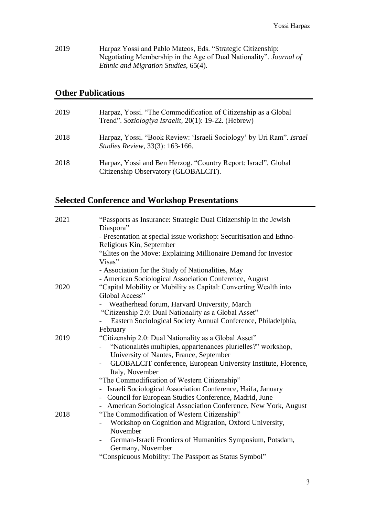2019 Harpaz Yossi and Pablo Mateos, Eds. "Strategic Citizenship: Negotiating Membership in the Age of Dual Nationality". *Journal of Ethnic and Migration Studies,* 65(4).

#### **Other Publications**

| 2019 | Harpaz, Yossi. "The Commodification of Citizenship as a Global<br>Trend". Soziologiya Israelit, 20(1): 19-22. (Hebrew) |
|------|------------------------------------------------------------------------------------------------------------------------|
| 2018 | Harpaz, Yossi. "Book Review: 'Israeli Sociology' by Uri Ram". Israel<br><i>Studies Review, 33(3): 163-166.</i>         |
| 2018 | Harpaz, Yossi and Ben Herzog. "Country Report: Israel". Global<br>Citizenship Observatory (GLOBALCIT).                 |

### **Selected Conference and Workshop Presentations**

| 2021 | "Passports as Insurance: Strategic Dual Citizenship in the Jewish                      |
|------|----------------------------------------------------------------------------------------|
|      | Diaspora"                                                                              |
|      | - Presentation at special issue workshop: Securitisation and Ethno-                    |
|      | Religious Kin, September                                                               |
|      | "Elites on the Move: Explaining Millionaire Demand for Investor                        |
|      | Visas"                                                                                 |
|      | - Association for the Study of Nationalities, May                                      |
|      | - American Sociological Association Conference, August                                 |
| 2020 | "Capital Mobility or Mobility as Capital: Converting Wealth into                       |
|      | Global Access"                                                                         |
|      | Weatherhead forum, Harvard University, March                                           |
|      | "Citizenship 2.0: Dual Nationality as a Global Asset"                                  |
|      | Eastern Sociological Society Annual Conference, Philadelphia,                          |
|      | February                                                                               |
| 2019 | "Citizenship 2.0: Dual Nationality as a Global Asset"                                  |
|      | "Nationalités multiples, appartenances plurielles?" workshop,                          |
|      | University of Nantes, France, September                                                |
|      | GLOBALCIT conference, European University Institute, Florence,                         |
|      | Italy, November                                                                        |
|      | "The Commodification of Western Citizenship"                                           |
|      | - Israeli Sociological Association Conference, Haifa, January                          |
|      | - Council for European Studies Conference, Madrid, June                                |
|      | - American Sociological Association Conference, New York, August                       |
| 2018 | "The Commodification of Western Citizenship"                                           |
|      | Workshop on Cognition and Migration, Oxford University,                                |
|      | November                                                                               |
|      | German-Israeli Frontiers of Humanities Symposium, Potsdam,<br>$\overline{\phantom{0}}$ |
|      | Germany, November                                                                      |
|      | "Conspicuous Mobility: The Passport as Status Symbol"                                  |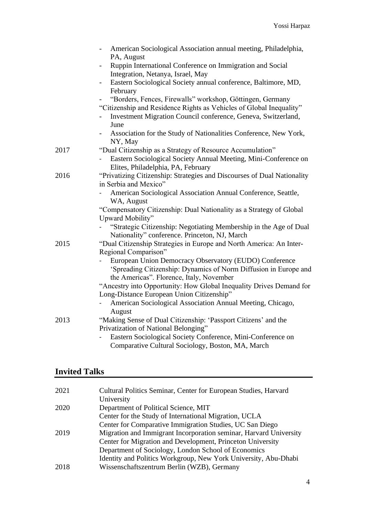|      | American Sociological Association annual meeting, Philadelphia,<br>$\overline{\phantom{0}}$                        |
|------|--------------------------------------------------------------------------------------------------------------------|
|      | PA, August<br>Ruppin International Conference on Immigration and Social<br>$\overline{\phantom{0}}$                |
|      | Integration, Netanya, Israel, May                                                                                  |
|      | Eastern Sociological Society annual conference, Baltimore, MD,<br>February                                         |
|      | "Borders, Fences, Firewalls" workshop, Göttingen, Germany                                                          |
|      | "Citizenship and Residence Rights as Vehicles of Global Inequality"                                                |
|      | Investment Migration Council conference, Geneva, Switzerland,<br>June                                              |
|      | Association for the Study of Nationalities Conference, New York,<br>NY, May                                        |
| 2017 | "Dual Citizenship as a Strategy of Resource Accumulation"                                                          |
|      | Eastern Sociological Society Annual Meeting, Mini-Conference on<br>Elites, Philadelphia, PA, February              |
| 2016 | "Privatizing Citizenship: Strategies and Discourses of Dual Nationality                                            |
|      | in Serbia and Mexico"                                                                                              |
|      | American Sociological Association Annual Conference, Seattle,<br>WA, August                                        |
|      | "Compensatory Citizenship: Dual Nationality as a Strategy of Global                                                |
|      | Upward Mobility"                                                                                                   |
|      | "Strategic Citizenship: Negotiating Membership in the Age of Dual<br>Nationality" conference. Princeton, NJ, March |
| 2015 | "Dual Citizenship Strategies in Europe and North America: An Inter-<br>Regional Comparison"                        |
|      | European Union Democracy Observatory (EUDO) Conference                                                             |
|      | 'Spreading Citizenship: Dynamics of Norm Diffusion in Europe and<br>the Americas". Florence, Italy, November       |
|      | "Ancestry into Opportunity: How Global Inequality Drives Demand for                                                |
|      | Long-Distance European Union Citizenship"                                                                          |
|      | American Sociological Association Annual Meeting, Chicago,                                                         |
|      | August                                                                                                             |
| 2013 | "Making Sense of Dual Citizenship: 'Passport Citizens' and the                                                     |
|      | Privatization of National Belonging"                                                                               |
|      | Eastern Sociological Society Conference, Mini-Conference on                                                        |
|      | Comparative Cultural Sociology, Boston, MA, March                                                                  |

### **Invited Talks**

| 2021 | Cultural Politics Seminar, Center for European Studies, Harvard   |
|------|-------------------------------------------------------------------|
|      | University                                                        |
| 2020 | Department of Political Science, MIT                              |
|      | Center for the Study of International Migration, UCLA             |
|      | Center for Comparative Immigration Studies, UC San Diego          |
| 2019 | Migration and Immigrant Incorporation seminar, Harvard University |
|      | Center for Migration and Development, Princeton University        |
|      | Department of Sociology, London School of Economics               |
|      | Identity and Politics Workgroup, New York University, Abu-Dhabi   |
| 2018 | Wissenschaftszentrum Berlin (WZB), Germany                        |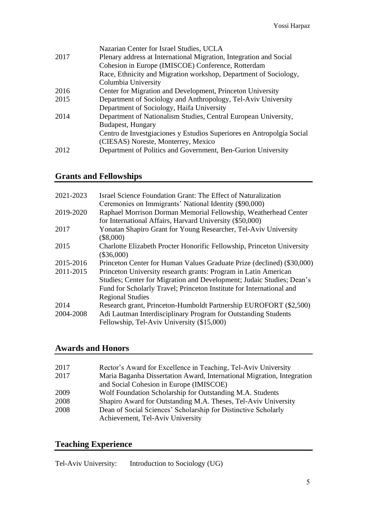|      | Nazarian Center for Israel Studies, UCLA                              |
|------|-----------------------------------------------------------------------|
| 2017 | Plenary address at International Migration, Integration and Social    |
|      | Cohesion in Europe (IMISCOE) Conference, Rotterdam                    |
|      | Race, Ethnicity and Migration workshop, Department of Sociology,      |
|      | Columbia University                                                   |
| 2016 | Center for Migration and Development, Princeton University            |
| 2015 | Department of Sociology and Anthropology, Tel-Aviv University         |
|      | Department of Sociology, Haifa University                             |
| 2014 | Department of Nationalism Studies, Central European University,       |
|      | <b>Budapest, Hungary</b>                                              |
|      | Centro de Investgiaciones y Estudios Superiores en Antropolgía Social |
|      | (CIESAS) Noreste, Monterrey, Mexico                                   |
| 2012 | Department of Politics and Government, Ben-Gurion University          |
|      |                                                                       |

### **Grants and Fellowships**

| 2021-2023 | Israel Science Foundation Grant: The Effect of Naturalization          |
|-----------|------------------------------------------------------------------------|
|           | Ceremonies on Immigrants' National Identity (\$90,000)                 |
| 2019-2020 | Raphael Morrison Dorman Memorial Fellowship, Weatherhead Center        |
|           | for International Affairs, Harvard University (\$50,000)               |
| 2017      | Yonatan Shapiro Grant for Young Researcher, Tel-Aviv University        |
|           | $(\$8,000)$                                                            |
| 2015      | Charlotte Elizabeth Procter Honorific Fellowship, Princeton University |
|           | $(\$36,000)$                                                           |
| 2015-2016 | Princeton Center for Human Values Graduate Prize (declined) (\$30,000) |
| 2011-2015 | Princeton University research grants: Program in Latin American        |
|           | Studies; Center for Migration and Development; Judaic Studies; Dean's  |
|           | Fund for Scholarly Travel; Princeton Institute for International and   |
|           | <b>Regional Studies</b>                                                |
| 2014      | Research grant, Princeton-Humboldt Partnership EUROFORT (\$2,500)      |
| 2004-2008 | Adi Lautman Interdisciplinary Program for Outstanding Students         |
|           | Fellowship, Tel-Aviv University (\$15,000)                             |

# **Awards and Honors**

| 2017 | Rector's Award for Excellence in Teaching, Tel-Aviv University         |
|------|------------------------------------------------------------------------|
| 2017 | Maria Baganha Dissertation Award, International Migration, Integration |
|      | and Social Cohesion in Europe (IMISCOE)                                |
| 2009 | Wolf Foundation Scholarship for Outstanding M.A. Students              |
| 2008 | Shapiro Award for Outstanding M.A. Theses, Tel-Aviv University         |
| 2008 | Dean of Social Sciences' Scholarship for Distinctive Scholarly         |
|      | Achievement, Tel-Aviv University                                       |

### **Teaching Experience**

Tel-Aviv University: Introduction to Sociology (UG)